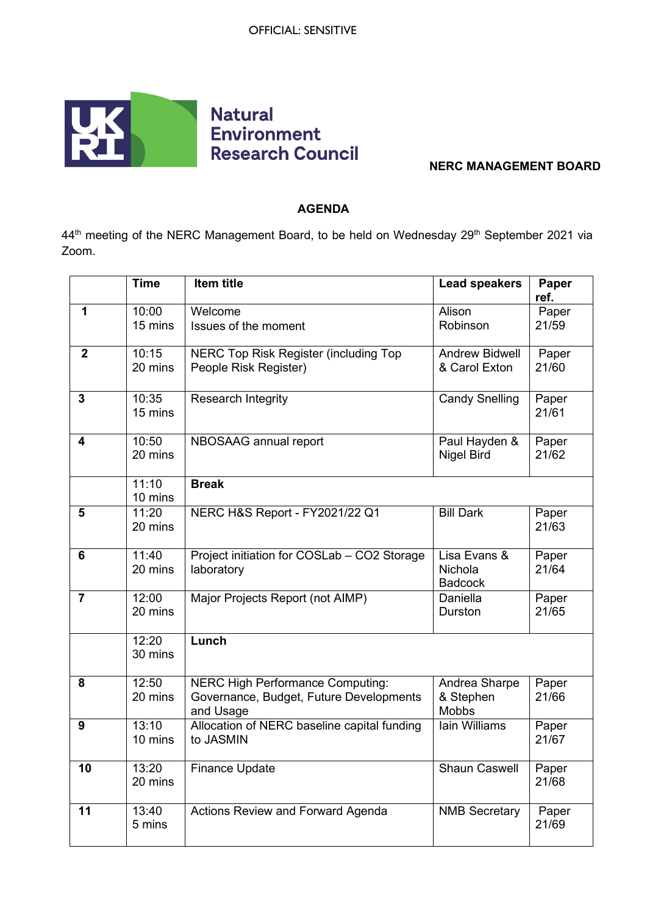

## **NERC MANAGEMENT BOARD**

## **AGENDA**

44<sup>th</sup> meeting of the NERC Management Board, to be held on Wednesday 29<sup>th</sup> September 2021 via Zoom.

|                | <b>Time</b>                    | Item title                                                                                      | <b>Lead speakers</b>                       | Paper<br>ref.  |
|----------------|--------------------------------|-------------------------------------------------------------------------------------------------|--------------------------------------------|----------------|
| 1              | 10:00<br>15 mins               | Welcome<br>Issues of the moment                                                                 | Alison<br>Robinson                         | Paper<br>21/59 |
| $\overline{2}$ | 10:15<br>20 mins               | NERC Top Risk Register (including Top<br>People Risk Register)                                  | <b>Andrew Bidwell</b><br>& Carol Exton     | Paper<br>21/60 |
| $\mathbf{3}$   | 10:35<br>15 mins               | Research Integrity                                                                              | <b>Candy Snelling</b>                      | Paper<br>21/61 |
| 4              | 10:50<br>20 mins               | NBOSAAG annual report                                                                           | Paul Hayden &<br><b>Nigel Bird</b>         | Paper<br>21/62 |
|                | 11:10<br>10 mins               | <b>Break</b>                                                                                    |                                            |                |
| 5              | 11:20<br>20 mins               | NERC H&S Report - FY2021/22 Q1                                                                  | <b>Bill Dark</b>                           | Paper<br>21/63 |
| 6              | $\overline{1}$ 1:40<br>20 mins | Project initiation for COSLab - CO2 Storage<br>laboratory                                       | Lisa Evans &<br>Nichola<br><b>Badcock</b>  | Paper<br>21/64 |
| $\overline{7}$ | 12:00<br>20 mins               | Major Projects Report (not AIMP)                                                                | Daniella<br>Durston                        | Paper<br>21/65 |
|                | 12:20<br>30 mins               | Lunch                                                                                           |                                            |                |
| 8              | 12:50<br>20 mins               | <b>NERC High Performance Computing:</b><br>Governance, Budget, Future Developments<br>and Usage | Andrea Sharpe<br>& Stephen<br><b>Mobbs</b> | Paper<br>21/66 |
| 9              | 13:10<br>10 mins               | Allocation of NERC baseline capital funding<br>to JASMIN                                        | Iain Williams                              | Paper<br>21/67 |
| 10             | 13:20<br>20 mins               | <b>Finance Update</b>                                                                           | <b>Shaun Caswell</b>                       | Paper<br>21/68 |
| 11             | 13:40<br>5 mins                | Actions Review and Forward Agenda                                                               | <b>NMB Secretary</b>                       | Paper<br>21/69 |